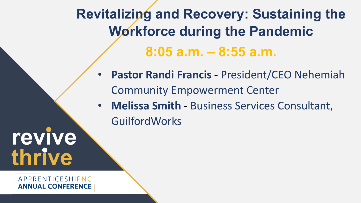**Revitalizing and Recovery: Sustaining the Workforce during the Pandemic 8:05 a.m. – 8:55 a.m.**

- **Pastor Randi Francis -** President/CEO Nehemiah Community Empowerment Center
- Name Name Name Description: Description: Description: Description: Description: Description: Description: Description: Descript<br>Description: Description: Description: Description: Description: Description: Description: Description: Descr • **Melissa Smith -** Business Services Consultant, GuilfordWorks

**thrive revive** 

*APPRENTICESHIPNC* NUAL CONFERENCE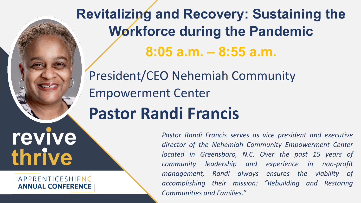Description: Description: Description: **thrive revive** 

## APPRENTICESHIPNC **ANNUAL CONFERENCE**

**Revitalizing and Recovery: Sustaining the Workforce during the Pandemic 8:05 a.m. – 8:55 a.m.**

**Pastor Randi Francis** President/CEO Nehemiah Community Empowerment Center

> *Pastor Randi Francis serves as vice president and executive director of the Nehemiah Community Empowerment Center located in Greensboro, N.C. Over the past 15 years of community leadership and experience in non-profit management, Randi always ensures the viability of accomplishing their mission: "Rebuilding and Restoring Communities and Families."*